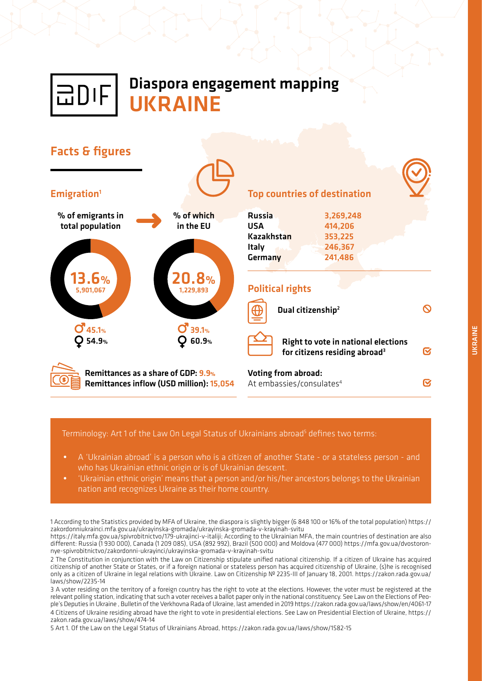

# Diaspora engagement mapping **IIKRAINE**



#### Terminology: Art 1 of the Law On Legal Status of Ukrainians abroad<sup>5</sup> defines two terms:

- *•* A 'Ukrainian abroad' is a person who is a citizen of another State or a stateless person and who has Ukrainian ethnic origin or is of Ukrainian descent.
- *•* 'Ukrainian ethnic origin' means that a person and/or his/her ancestors belongs to the Ukrainian nation and recognizes Ukraine as their home country.

1 According to the Statistics provided by MFA of Ukraine, the diaspora is slightly bigger (6 848 100 or 16% of the total population) https:// zakordonniukrainci.mfa.gov.ua/ukrayinska-gromada/ukrayinska-gromada-v-krayinah-svitu

https://italy.mfa.gov.ua/spivrobitnictvo/179-ukrajinci-v-italiji; According to the Ukrainian MFA, the main countries of destination are also different: Russia (1 930 000), Canada (1 209 085), USA (892 992), Brazil (500 000) and Moldova (477 000) https://mfa.gov.ua/dvostoronnye-spivrobitnictvo/zakordonni-ukrayinci/ukrayinska-gromada-v-krayinah-svitu

2 The Constitution in conjunction with the Law on Citizenship stipulate unified national citizenship. If a citizen of Ukraine has acquired citizenship of another State or States, or if a foreign national or stateless person has acquired citizenship of Ukraine, (s)he is recognised only as a citizen of Ukraine in legal relations with Ukraine. Law on Citizenship № 2235-III of January 18, 2001. https://zakon.rada.gov.ua/ laws/show/2235-14

3 A voter residing on the territory of a foreign country has the right to vote at the elections. However, the voter must be registered at the relevant polling station, indicating that such a voter receives a ballot paper only in the national constituency. See Law on the Elections of People's Deputies in Ukraine , Bulletin of the Verkhovna Rada of Ukraine, last amended in 2019 https://zakon.rada.gov.ua/laws/show/en/4061-17 4 Citizens of Ukraine residing abroad have the right to vote in presidential elections. See Law on Presidential Election of Ukraine, https:// zakon.rada.gov.ua/laws/show/474-14

5 Art 1. Of the Law on the Legal Status of Ukrainians Abroad, https://zakon.rada.gov.ua/laws/show/1582-15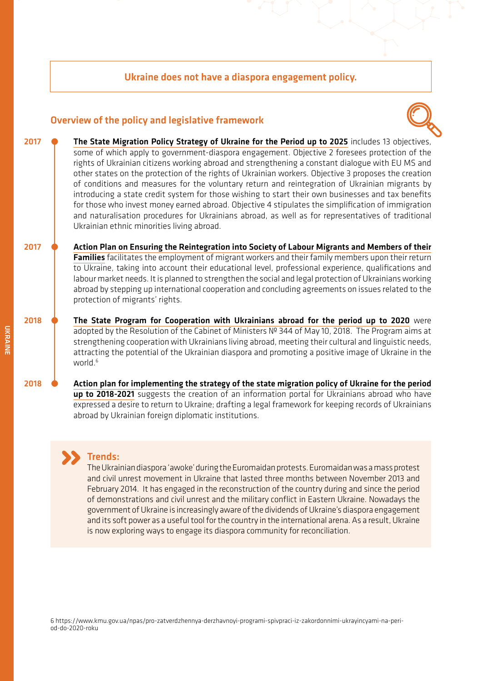#### Ukraine does not have a diaspora engagement policy.

#### Overview of the policy and legislative framework



- **•** [The State Migration Policy Strategy of Ukraine for the Period up to 2025](http://zakon0.rada.gov.ua/laws/show/482-2017-p. 2018) includes 13 objectives, some of which apply to government-diaspora engagement. Objective 2 foresees protection of the rights of Ukrainian citizens working abroad and strengthening a constant dialogue with EU MS and other states on the protection of the rights of Ukrainian workers. Objective 3 proposes the creation of conditions and measures for the voluntary return and reintegration of Ukrainian migrants by introducing a state credit system for those wishing to start their own businesses and tax benefits for those who invest money earned abroad. Objective 4 stipulates the simplification of immigration and naturalisation procedures for Ukrainians abroad, as well as for representatives of traditional Ukrainian ethnic minorities living abroad. 2017
- **•** [Action Plan on Ensuring the Reintegration into Society of Labour Migrants and Members of their](http://zakon3.rada.gov.ua/laws/show/257-2017-p. 2017)  [Families](http://zakon3.rada.gov.ua/laws/show/257-2017-p. 2017) facilitates the employment of migrant workers and their family members upon their return to Ukraine, taking into account their educational level, professional experience, qualifications and labour market needs. It is planned to strengthen the social and legal protection of Ukrainians working abroad by stepping up international cooperation and concluding agreements on issues related to the protection of migrants' rights. 2017
- **•** [The State Program for Cooperation with Ukrainians abroad for the period up to 2020](https://zakon.rada.gov.ua/laws/show/344-2018-%D0%BF) were adopted by the Resolution of the Cabinet of Ministers № 344 of May 10, 2018. The Program aims at strengthening cooperation with Ukrainians living abroad, meeting their cultural and linguistic needs, attracting the potential of the Ukrainian diaspora and promoting a positive image of Ukraine in the world.<sup>6</sup> 2018
	- **•** [Action plan for implementing the strategy of the state migration policy of Ukraine for the period](https://zakon.rada.gov.ua/laws/show/602-2018-%D1%80)  [up to 2018-2021](https://zakon.rada.gov.ua/laws/show/602-2018-%D1%80) suggests the creation of an information portal for Ukrainians abroad who have expressed a desire to return to Ukraine; drafting a legal framework for keeping records of Ukrainians abroad by Ukrainian foreign diplomatic institutions.

### Trends:

The Ukrainian diaspora 'awoke' during the Euromaidan protests. Euromaidan was a mass protest and civil unrest movement in Ukraine that lasted three months between November 2013 and February 2014. It has engaged in the reconstruction of the country during and since the period of demonstrations and civil unrest and the military conflict in Eastern Ukraine. Nowadays the government of Ukraine is increasingly aware of the dividends of Ukraine's diaspora engagement and its soft power as a useful tool for the country in the international arena. As a result, Ukraine is now exploring ways to engage its diaspora community for reconciliation.

6 https://www.kmu.gov.ua/npas/pro-zatverdzhennya-derzhavnoyi-programi-spivpraci-iz-zakordonnimi-ukrayincyami-na-period-do-2020-roku

2018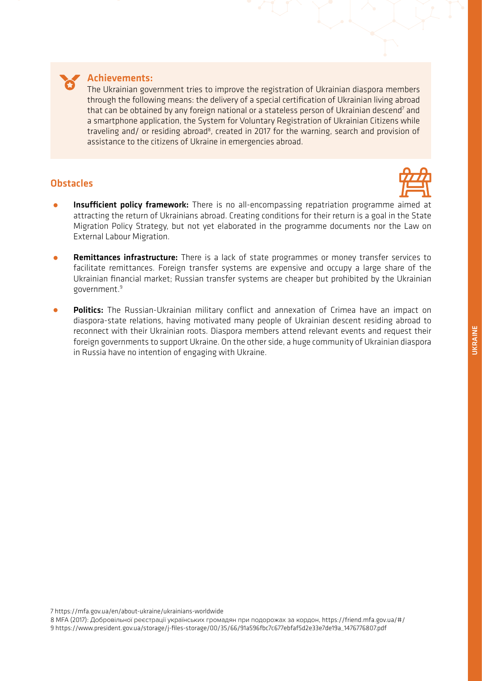

#### Achievements:

The Ukrainian government tries to improve the registration of Ukrainian diaspora members through the following means: the delivery of a special certification of Ukrainian living abroad that can be obtained by any foreign national or a stateless person of Ukrainian descend<sup>7</sup> and a smartphone application, the System for Voluntary Registration of Ukrainian Citizens while traveling and/ or residing abroad<sup>8</sup>, created in 2017 for the warning, search and provision of assistance to the citizens of Ukraine in emergencies abroad.

#### **Obstacles**



- **Insufficient policy framework:** There is no all-encompassing repatriation programme aimed at attracting the return of Ukrainians abroad. Creating conditions for their return is a goal in the State Migration Policy Strategy, but not yet elaborated in the programme documents nor the Law on External Labour Migration.
- **Remittances infrastructure:** There is a lack of state programmes or money transfer services to facilitate remittances. Foreign transfer systems are expensive and occupy a large share of the Ukrainian financial market; Russian transfer systems are cheaper but prohibited by the Ukrainian government.<sup>9</sup>
- **Politics:** The Russian-Ukrainian military conflict and annexation of Crimea have an impact on diaspora-state relations, having motivated many people of Ukrainian descent residing abroad to reconnect with their Ukrainian roots. Diaspora members attend relevant events and request their foreign governments to support Ukraine. On the other side, a huge community of Ukrainian diaspora in Russia have no intention of engaging with Ukraine.

7 https://mfa.gov.ua/en/about-ukraine/ukrainians-worldwide

8 MFA (2017): Добровільної реєстрації українських громадян при подорожах за кордон, https://friend.mfa.gov.ua/#/ 9 https://www.president.gov.ua/storage/j-files-storage/00/35/66/91a596fbc7c677ebfaf5d2e33e7de19a\_1476776807.pdf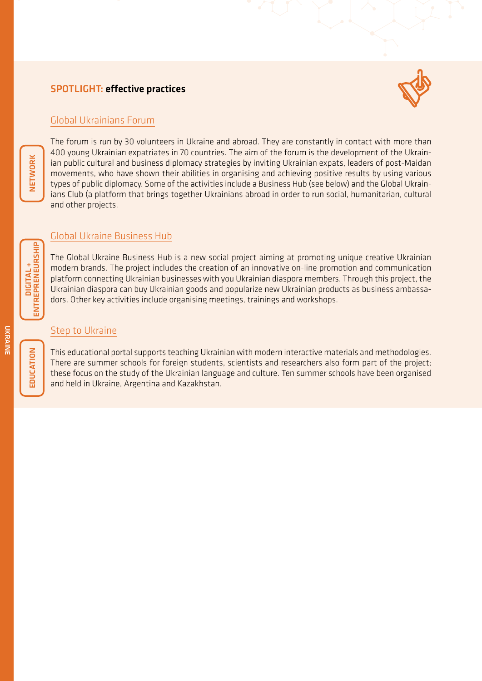### SPOTLIGHT: effective practices



#### [Global Ukrainians Forum](https://global-ukraine.com/)

The forum is run by 30 volunteers in Ukraine and abroad. They are constantly in contact with more than 400 young Ukrainian expatriates in 70 countries. The aim of the forum is the development of the Ukrainian public cultural and business diplomacy strategies by inviting Ukrainian expats, leaders of post-Maidan movements, who have shown their abilities in organising and achieving positive results by using various types of public diplomacy. Some of the activities include a Business Hub (see below) and the Global Ukrainians Club (a platform that brings together Ukrainians abroad in order to run social, humanitarian, cultural and other projects.

### [Global Ukraine Business Hub](https://global-ukraine.com/en/business-hub-2/)

The Global Ukraine Business Hub is a new social project aiming at promoting unique creative Ukrainian modern brands. The project includes the creation of an innovative on-line promotion and communication platform connecting Ukrainian businesses with you Ukrainian diaspora members. Through this project, the Ukrainian diaspora can buy Ukrainian goods and popularize new Ukrainian products as business ambassadors. Other key activities include organising meetings, trainings and workshops.

#### [Step to Ukraine](http://krok.miok.lviv.ua/uk/)

This educational portal supports teaching Ukrainian with modern interactive materials and methodologies. There are summer schools for foreign students, scientists and researchers also form part of the project; these focus on the study of the Ukrainian language and culture. Ten summer schools have been organised and held in Ukraine, Argentina and Kazakhstan.

NETWORK

UKRANIN

**UKRAINE**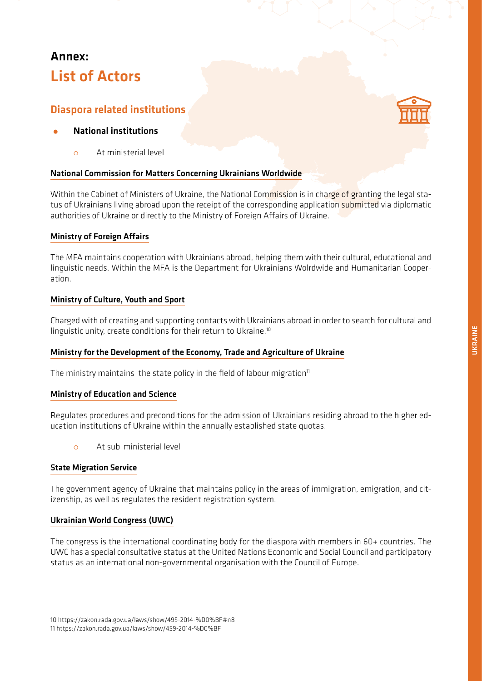# Annex: List of Actors

# Diaspora related institutions

#### *•* National institutions

{ At ministerial level

#### [National Commission for Matters Concerning Ukrainians Worldwide](https://www.president.gov.ua/en)

Within the Cabinet of Ministers of Ukraine, the National Commission is in charge of granting the legal status of Ukrainians living abroad upon the receipt of the corresponding application submitted via diplomatic authorities of Ukraine or directly to the Ministry of Foreign Affairs of Ukraine.

#### [Ministry of Foreign Affairs](https://mfa.gov.ua/en/about-ukraine/ukrainians-worldwide)

The MFA maintains cooperation with Ukrainians abroad, helping them with their cultural, educational and linguistic needs. Within the MFA is the Department for Ukrainians Wolrdwide and Humanitarian Cooperation.

#### [Ministry of Culture, Youth and Sport](http://mkms.gov.ua/)

Charged with of creating and supporting contacts with Ukrainians abroad in order to search for cultural and linguistic unity, create conditions for their return to Ukraine.10

#### [Ministry for the Development of the Economy, Trade and Agriculture of Ukraine](http://www.me.gov.ua/Documents/List?lang=uk-UA&id=2c90ad86-f47a-4c19-bf95-13345b83c279&tag=PravoviZasadiDiialnosti)

The ministry maintains the state policy in the field of labour migration $<sup>11</sup>$ </sup>

#### [Ministry of Education and Science](https://mon.gov.ua/ua/osvita/visha-osvita/zakordonnim-ukrayincyam)

Regulates procedures and preconditions for the admission of Ukrainians residing abroad to the higher education institutions of Ukraine within the annually established state quotas.

o At sub-ministerial level

#### [State Migration Service](https://dmsu.gov.ua/)

The government agency of Ukraine that maintains policy in the areas of immigration, emigration, and citizenship, as well as regulates the resident registration system.

#### [Ukrainian World Congress \(UWC\)](https://www.ukrainianworldcongress.org/)

The congress is the international coordinating body for the diaspora with members in 60+ countries. The UWC has a special consultative status at the United Nations Economic and Social Council and participatory status as an international non-governmental organisation with the Council of Europe.